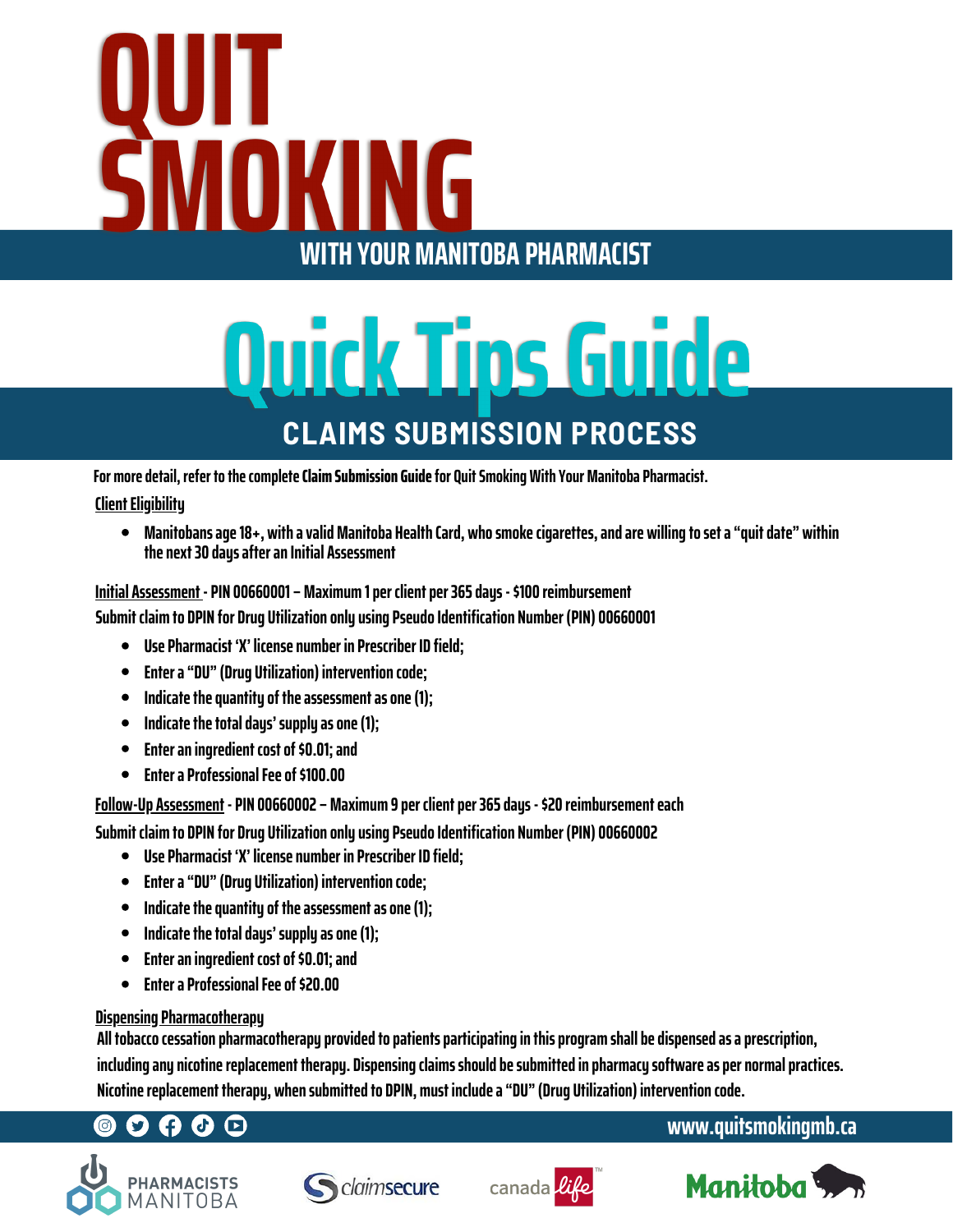# OUIT **SMOKING WITH YOUR MANITOBA PHARMACIST**

# Quick Tips Guide **CLAIMS SUBMISSION PROCESS**

**For moredetail, refer tothecompleteClaimSubmission Guidefor QuitSmokingWithYourManitoba Pharmacist.**

#### **Client Eligibility**

**Manitobansage18+, withavalidManitoba HealthCard, whosmokecigarettes,andare willingtoseta"quitdate" within thenext30 daysafteranInitial Assessment**

**Submit claim to DPIN for Drug Utilizationonlyusing PseudoIdentification Number (PIN) 00660001 Initial Assessment - PIN 00660001 –Maximum 1per clientper365days-\$100 reimbursement**

- **Use Pharmacist 'X' licensenumber in Prescriber ID field;**
- **Entera"DU"(Drug Utilization) interventioncode;**
- **Indicate the quantity of the assessment as one (1);**  $\bullet$
- Indicate the total days' supply as one (1);
- $\bullet$ **Enteraningredient costof\$0.01;and**
- **Entera ProfessionalFeeof\$100.00**

**Follow-Up Assessment - PIN 00660002 –Maximum 9per clientper365days-\$20 reimbursementeach**

**Submit claim to DPIN for Drug Utilizationonlyusing PseudoIdentification Number (PIN) 00660002**

- **Use Pharmacist 'X' licensenumber in Prescriber ID field;**
- **Entera"DU"(Drug Utilization) interventioncode;**
- $\bullet$ **Indicate the quantity of the assessment as one (1);**
- Indicate the total days' supply as one (1);  $\bullet$
- **Enteraningredient costof\$0.01;and**  $\bullet$
- **Entera ProfessionalFeeof\$20.00**  $\bullet$

### **Dispensing Pharmacotherapy**

**All tobaccocessationpharmacotherapyprovidedtopatientsparticipatinginthisprogram shallbedispensedasaprescription, includinganynicotinereplacement therapy. Dispensingclaimsshouldbesubmittedinpharmacysoftwareaspernormalpractices. Nicotinereplacement therapy, whensubmittedto DPIN, must includea"DU"(Drug Utilization) interventioncode.**

# $\mathbf{O} \mathbf{\Theta} \mathbf{O} \mathbf{O}$







## **www.quitsmokingmb.ca**